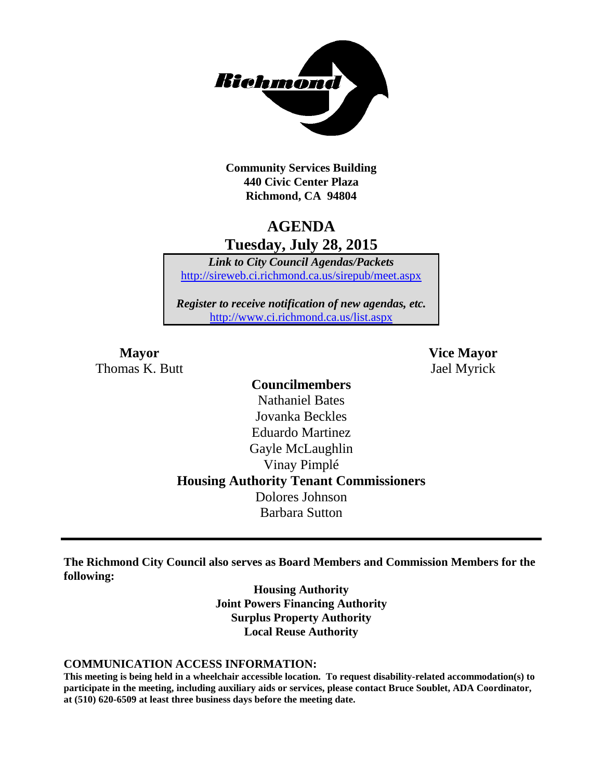

**Community Services Building 440 Civic Center Plaza Richmond, CA 94804**

# **AGENDA Tuesday, July 28, 2015**

*Link to City Council Agendas/Packets* <http://sireweb.ci.richmond.ca.us/sirepub/meet.aspx>

*Register to receive notification of new agendas, etc.* <http://www.ci.richmond.ca.us/list.aspx>

Thomas K. Butt Jael Myrick

**Mayor Vice Mayor**

# **Councilmembers** Nathaniel Bates Jovanka Beckles Eduardo Martinez Gayle McLaughlin Vinay Pimplé **Housing Authority Tenant Commissioners** Dolores Johnson Barbara Sutton

**The Richmond City Council also serves as Board Members and Commission Members for the following:**

> **Housing Authority Joint Powers Financing Authority Surplus Property Authority Local Reuse Authority**

#### **COMMUNICATION ACCESS INFORMATION:**

**This meeting is being held in a wheelchair accessible location. To request disability-related accommodation(s) to participate in the meeting, including auxiliary aids or services, please contact Bruce Soublet, ADA Coordinator, at (510) 620-6509 at least three business days before the meeting date.**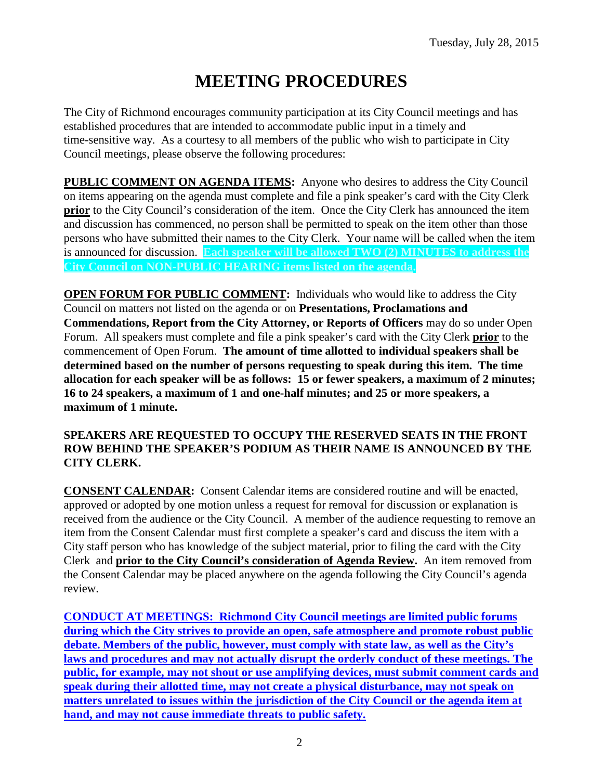# **MEETING PROCEDURES**

The City of Richmond encourages community participation at its City Council meetings and has established procedures that are intended to accommodate public input in a timely and time-sensitive way. As a courtesy to all members of the public who wish to participate in City Council meetings, please observe the following procedures:

**PUBLIC COMMENT ON AGENDA ITEMS:** Anyone who desires to address the City Council on items appearing on the agenda must complete and file a pink speaker's card with the City Clerk **prior** to the City Council's consideration of the item. Once the City Clerk has announced the item and discussion has commenced, no person shall be permitted to speak on the item other than those persons who have submitted their names to the City Clerk. Your name will be called when the item is announced for discussion. **Each speaker will be allowed TWO (2) MINUTES to address the City Council on NON-PUBLIC HEARING items listed on the agenda.**

**OPEN FORUM FOR PUBLIC COMMENT:** Individuals who would like to address the City Council on matters not listed on the agenda or on **Presentations, Proclamations and Commendations, Report from the City Attorney, or Reports of Officers** may do so under Open Forum. All speakers must complete and file a pink speaker's card with the City Clerk **prior** to the commencement of Open Forum. **The amount of time allotted to individual speakers shall be determined based on the number of persons requesting to speak during this item. The time allocation for each speaker will be as follows: 15 or fewer speakers, a maximum of 2 minutes; 16 to 24 speakers, a maximum of 1 and one-half minutes; and 25 or more speakers, a maximum of 1 minute.**

### **SPEAKERS ARE REQUESTED TO OCCUPY THE RESERVED SEATS IN THE FRONT ROW BEHIND THE SPEAKER'S PODIUM AS THEIR NAME IS ANNOUNCED BY THE CITY CLERK.**

**CONSENT CALENDAR:** Consent Calendar items are considered routine and will be enacted, approved or adopted by one motion unless a request for removal for discussion or explanation is received from the audience or the City Council. A member of the audience requesting to remove an item from the Consent Calendar must first complete a speaker's card and discuss the item with a City staff person who has knowledge of the subject material, prior to filing the card with the City Clerk and **prior to the City Council's consideration of Agenda Review.** An item removed from the Consent Calendar may be placed anywhere on the agenda following the City Council's agenda review.

**CONDUCT AT MEETINGS: Richmond City Council meetings are limited public forums during which the City strives to provide an open, safe atmosphere and promote robust public debate. Members of the public, however, must comply with state law, as well as the City's laws and procedures and may not actually disrupt the orderly conduct of these meetings. The public, for example, may not shout or use amplifying devices, must submit comment cards and speak during their allotted time, may not create a physical disturbance, may not speak on matters unrelated to issues within the jurisdiction of the City Council or the agenda item at hand, and may not cause immediate threats to public safety.**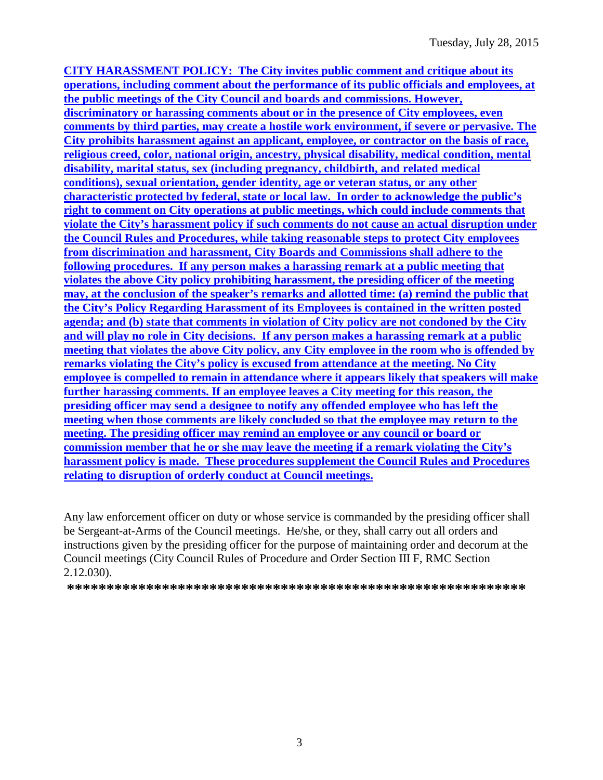**CITY HARASSMENT POLICY: The City invites public comment and critique about its operations, including comment about the performance of its public officials and employees, at the public meetings of the City Council and boards and commissions. However, discriminatory or harassing comments about or in the presence of City employees, even comments by third parties, may create a hostile work environment, if severe or pervasive. The City prohibits harassment against an applicant, employee, or contractor on the basis of race, religious creed, color, national origin, ancestry, physical disability, medical condition, mental disability, marital status, sex (including pregnancy, childbirth, and related medical conditions), sexual orientation, gender identity, age or veteran status, or any other characteristic protected by federal, state or local law. In order to acknowledge the public's right to comment on City operations at public meetings, which could include comments that violate the City's harassment policy if such comments do not cause an actual disruption under the Council Rules and Procedures, while taking reasonable steps to protect City employees from discrimination and harassment, City Boards and Commissions shall adhere to the following procedures. If any person makes a harassing remark at a public meeting that violates the above City policy prohibiting harassment, the presiding officer of the meeting may, at the conclusion of the speaker's remarks and allotted time: (a) remind the public that the City's Policy Regarding Harassment of its Employees is contained in the written posted agenda; and (b) state that comments in violation of City policy are not condoned by the City and will play no role in City decisions. If any person makes a harassing remark at a public meeting that violates the above City policy, any City employee in the room who is offended by remarks violating the City's policy is excused from attendance at the meeting. No City employee is compelled to remain in attendance where it appears likely that speakers will make further harassing comments. If an employee leaves a City meeting for this reason, the presiding officer may send a designee to notify any offended employee who has left the meeting when those comments are likely concluded so that the employee may return to the meeting. The presiding officer may remind an employee or any council or board or commission member that he or she may leave the meeting if a remark violating the City's harassment policy is made. These procedures supplement the Council Rules and Procedures relating to disruption of orderly conduct at Council meetings.**

Any law enforcement officer on duty or whose service is commanded by the presiding officer shall be Sergeant-at-Arms of the Council meetings. He/she, or they, shall carry out all orders and instructions given by the presiding officer for the purpose of maintaining order and decorum at the Council meetings (City Council Rules of Procedure and Order Section III F, RMC Section 2.12.030).

**\*\*\*\*\*\*\*\*\*\*\*\*\*\*\*\*\*\*\*\*\*\*\*\*\*\*\*\*\*\*\*\*\*\*\*\*\*\*\*\*\*\*\*\*\*\*\*\*\*\*\*\*\*\*\*\*\*\***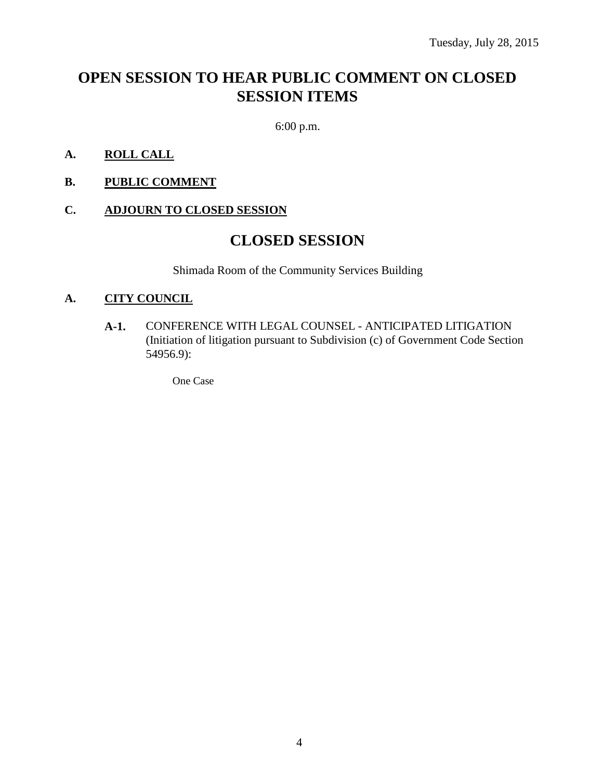# **OPEN SESSION TO HEAR PUBLIC COMMENT ON CLOSED SESSION ITEMS**

6:00 p.m.

- **A. ROLL CALL**
- **B. PUBLIC COMMENT**

### **C. ADJOURN TO CLOSED SESSION**

# **CLOSED SESSION**

Shimada Room of the Community Services Building

#### **A. CITY COUNCIL**

**A-1.** CONFERENCE WITH LEGAL COUNSEL - ANTICIPATED LITIGATION (Initiation of litigation pursuant to Subdivision (c) of Government Code Section 54956.9):

One Case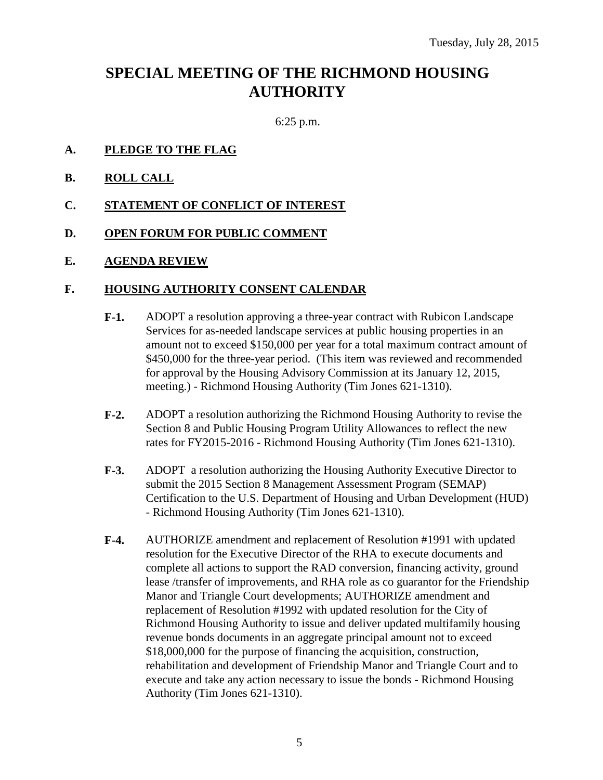# **SPECIAL MEETING OF THE RICHMOND HOUSING AUTHORITY**

6:25 p.m.

- **A. PLEDGE TO THE FLAG**
- **B. ROLL CALL**
- **C. STATEMENT OF CONFLICT OF INTEREST**
- **D. OPEN FORUM FOR PUBLIC COMMENT**
- **E. AGENDA REVIEW**

### **F. HOUSING AUTHORITY CONSENT CALENDAR**

- **F-1.** ADOPT a resolution approving a three-year contract with Rubicon Landscape Services for as-needed landscape services at public housing properties in an amount not to exceed \$150,000 per year for a total maximum contract amount of \$450,000 for the three-year period. (This item was reviewed and recommended for approval by the Housing Advisory Commission at its January 12, 2015, meeting.) - Richmond Housing Authority (Tim Jones 621-1310).
- **F-2.** ADOPT a resolution authorizing the Richmond Housing Authority to revise the Section 8 and Public Housing Program Utility Allowances to reflect the new rates for FY2015-2016 - Richmond Housing Authority (Tim Jones 621-1310).
- **F-3.** ADOPT a resolution authorizing the Housing Authority Executive Director to submit the 2015 Section 8 Management Assessment Program (SEMAP) Certification to the U.S. Department of Housing and Urban Development (HUD) - Richmond Housing Authority (Tim Jones 621-1310).
- **F-4.** AUTHORIZE amendment and replacement of Resolution #1991 with updated resolution for the Executive Director of the RHA to execute documents and complete all actions to support the RAD conversion, financing activity, ground lease /transfer of improvements, and RHA role as co guarantor for the Friendship Manor and Triangle Court developments; AUTHORIZE amendment and replacement of Resolution #1992 with updated resolution for the City of Richmond Housing Authority to issue and deliver updated multifamily housing revenue bonds documents in an aggregate principal amount not to exceed \$18,000,000 for the purpose of financing the acquisition, construction, rehabilitation and development of Friendship Manor and Triangle Court and to execute and take any action necessary to issue the bonds - Richmond Housing Authority (Tim Jones 621-1310).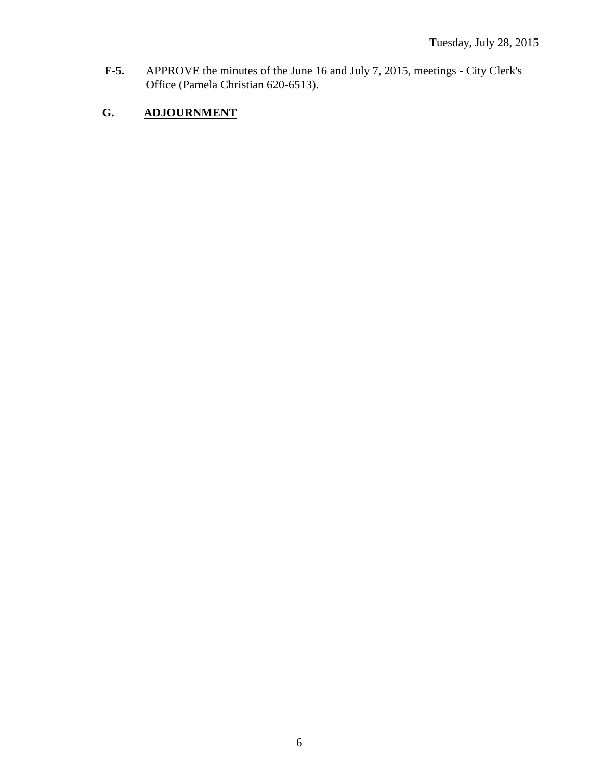**F-5.** APPROVE the minutes of the June 16 and July 7, 2015, meetings - City Clerk's Office (Pamela Christian 620-6513).

# **G. ADJOURNMENT**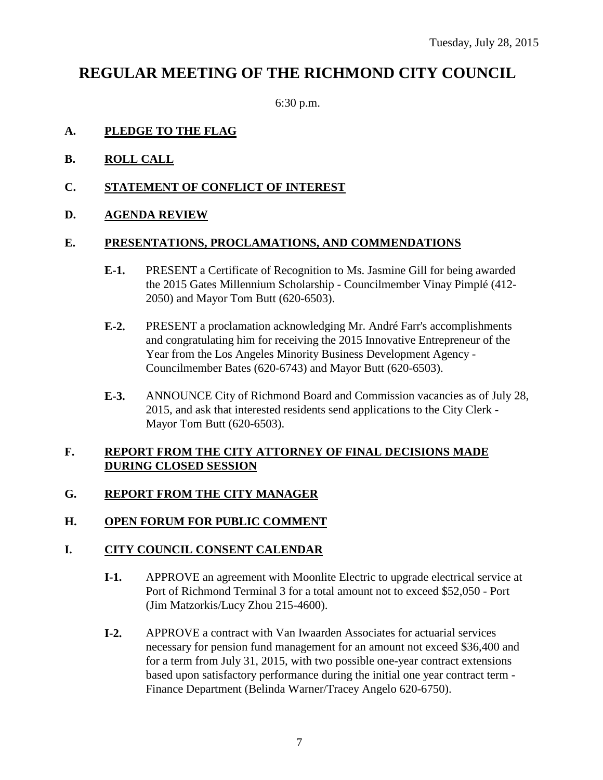# **REGULAR MEETING OF THE RICHMOND CITY COUNCIL**

6:30 p.m.

# **A. PLEDGE TO THE FLAG**

- **B. ROLL CALL**
- **C. STATEMENT OF CONFLICT OF INTEREST**
- **D. AGENDA REVIEW**

# **E. PRESENTATIONS, PROCLAMATIONS, AND COMMENDATIONS**

- **E-1.** PRESENT a Certificate of Recognition to Ms. Jasmine Gill for being awarded the 2015 Gates Millennium Scholarship - Councilmember Vinay Pimplé (412- 2050) and Mayor Tom Butt (620-6503).
- **E-2.** PRESENT a proclamation acknowledging Mr. André Farr's accomplishments and congratulating him for receiving the 2015 Innovative Entrepreneur of the Year from the Los Angeles Minority Business Development Agency - Councilmember Bates (620-6743) and Mayor Butt (620-6503).
- **E-3.** ANNOUNCE City of Richmond Board and Commission vacancies as of July 28, 2015, and ask that interested residents send applications to the City Clerk - Mayor Tom Butt (620-6503).

# **F. REPORT FROM THE CITY ATTORNEY OF FINAL DECISIONS MADE DURING CLOSED SESSION**

# **G. REPORT FROM THE CITY MANAGER**

# **H. OPEN FORUM FOR PUBLIC COMMENT**

# **I. CITY COUNCIL CONSENT CALENDAR**

- **I-1.** APPROVE an agreement with Moonlite Electric to upgrade electrical service at Port of Richmond Terminal 3 for a total amount not to exceed \$52,050 - Port (Jim Matzorkis/Lucy Zhou 215-4600).
- **I-2.** APPROVE a contract with Van Iwaarden Associates for actuarial services necessary for pension fund management for an amount not exceed \$36,400 and for a term from July 31, 2015, with two possible one-year contract extensions based upon satisfactory performance during the initial one year contract term - Finance Department (Belinda Warner/Tracey Angelo 620-6750).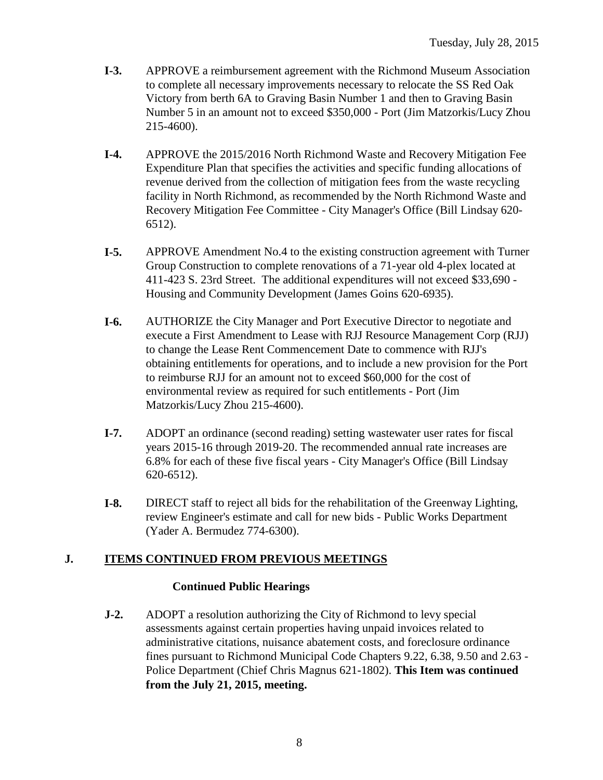- **I-3.** APPROVE a reimbursement agreement with the Richmond Museum Association to complete all necessary improvements necessary to relocate the SS Red Oak Victory from berth 6A to Graving Basin Number 1 and then to Graving Basin Number 5 in an amount not to exceed \$350,000 - Port (Jim Matzorkis/Lucy Zhou 215-4600).
- **I-4.** APPROVE the 2015/2016 North Richmond Waste and Recovery Mitigation Fee Expenditure Plan that specifies the activities and specific funding allocations of revenue derived from the collection of mitigation fees from the waste recycling facility in North Richmond, as recommended by the North Richmond Waste and Recovery Mitigation Fee Committee - City Manager's Office (Bill Lindsay 620- 6512).
- **I-5.** APPROVE Amendment No.4 to the existing construction agreement with Turner Group Construction to complete renovations of a 71-year old 4-plex located at 411-423 S. 23rd Street. The additional expenditures will not exceed \$33,690 - Housing and Community Development (James Goins 620-6935).
- **I-6.** AUTHORIZE the City Manager and Port Executive Director to negotiate and execute a First Amendment to Lease with RJJ Resource Management Corp (RJJ) to change the Lease Rent Commencement Date to commence with RJJ's obtaining entitlements for operations, and to include a new provision for the Port to reimburse RJJ for an amount not to exceed \$60,000 for the cost of environmental review as required for such entitlements - Port (Jim Matzorkis/Lucy Zhou 215-4600).
- **I-7.** ADOPT an ordinance (second reading) setting wastewater user rates for fiscal years 2015-16 through 2019-20. The recommended annual rate increases are 6.8% for each of these five fiscal years - City Manager's Office (Bill Lindsay 620-6512).
- **I-8.** DIRECT staff to reject all bids for the rehabilitation of the Greenway Lighting, review Engineer's estimate and call for new bids - Public Works Department (Yader A. Bermudez 774-6300).

# **J. ITEMS CONTINUED FROM PREVIOUS MEETINGS**

### **Continued Public Hearings**

**J-2.** ADOPT a resolution authorizing the City of Richmond to levy special assessments against certain properties having unpaid invoices related to administrative citations, nuisance abatement costs, and foreclosure ordinance fines pursuant to Richmond Municipal Code Chapters 9.22, 6.38, 9.50 and 2.63 - Police Department (Chief Chris Magnus 621-1802). **This Item was continued from the July 21, 2015, meeting.**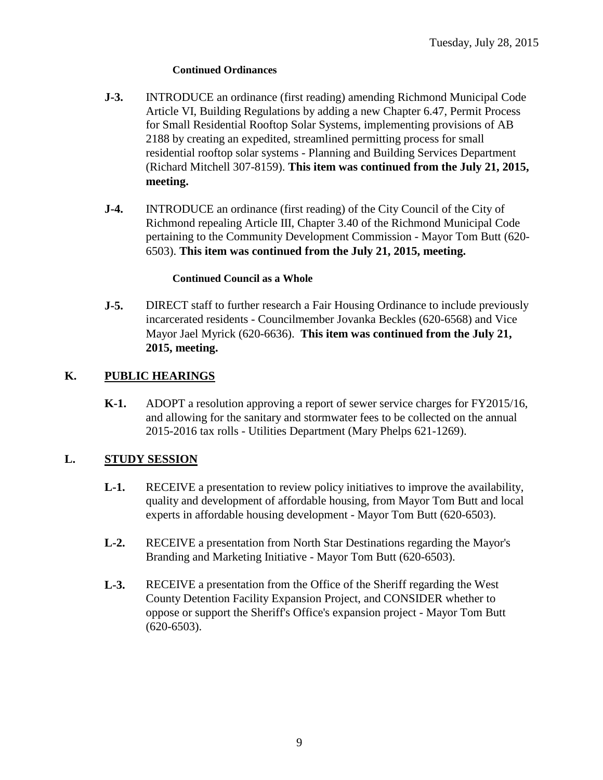#### **Continued Ordinances**

- **J-3.** INTRODUCE an ordinance (first reading) amending Richmond Municipal Code Article VI, Building Regulations by adding a new Chapter 6.47, Permit Process for Small Residential Rooftop Solar Systems, implementing provisions of AB 2188 by creating an expedited, streamlined permitting process for small residential rooftop solar systems - Planning and Building Services Department (Richard Mitchell 307-8159). **This item was continued from the July 21, 2015, meeting.**
- **J-4.** INTRODUCE an ordinance (first reading) of the City Council of the City of Richmond repealing Article III, Chapter 3.40 of the Richmond Municipal Code pertaining to the Community Development Commission - Mayor Tom Butt (620- 6503). **This item was continued from the July 21, 2015, meeting.**

#### **Continued Council as a Whole**

**J-5.** DIRECT staff to further research a Fair Housing Ordinance to include previously incarcerated residents - Councilmember Jovanka Beckles (620-6568) and Vice Mayor Jael Myrick (620-6636). **This item was continued from the July 21, 2015, meeting.**

# **K. PUBLIC HEARINGS**

**K-1.** ADOPT a resolution approving a report of sewer service charges for FY2015/16, and allowing for the sanitary and stormwater fees to be collected on the annual 2015-2016 tax rolls - Utilities Department (Mary Phelps 621-1269).

# **L. STUDY SESSION**

- **L-1.** RECEIVE a presentation to review policy initiatives to improve the availability, quality and development of affordable housing, from Mayor Tom Butt and local experts in affordable housing development - Mayor Tom Butt (620-6503).
- **L-2.** RECEIVE a presentation from North Star Destinations regarding the Mayor's Branding and Marketing Initiative - Mayor Tom Butt (620-6503).
- **L-3.** RECEIVE a presentation from the Office of the Sheriff regarding the West County Detention Facility Expansion Project, and CONSIDER whether to oppose or support the Sheriff's Office's expansion project - Mayor Tom Butt (620-6503).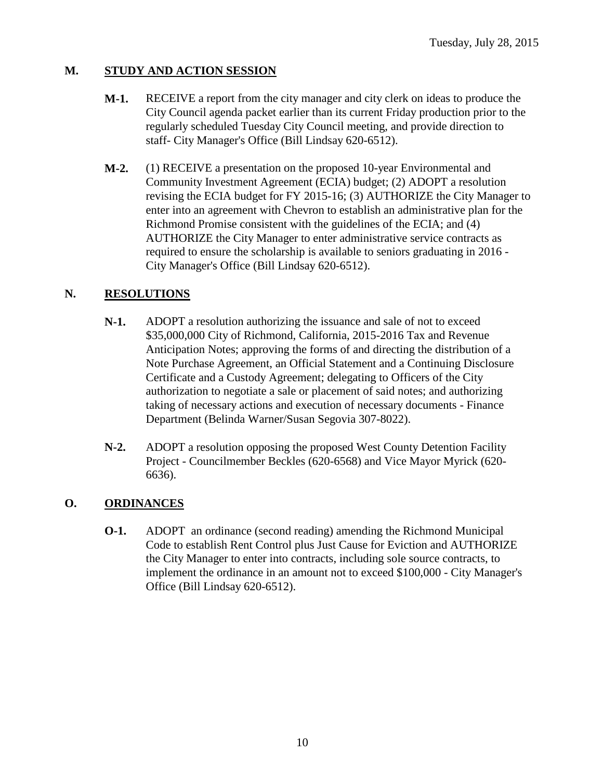# **M. STUDY AND ACTION SESSION**

- **M-1.** RECEIVE a report from the city manager and city clerk on ideas to produce the City Council agenda packet earlier than its current Friday production prior to the regularly scheduled Tuesday City Council meeting, and provide direction to staff- City Manager's Office (Bill Lindsay 620-6512).
- **M-2.** (1) RECEIVE a presentation on the proposed 10-year Environmental and Community Investment Agreement (ECIA) budget; (2) ADOPT a resolution revising the ECIA budget for FY 2015-16; (3) AUTHORIZE the City Manager to enter into an agreement with Chevron to establish an administrative plan for the Richmond Promise consistent with the guidelines of the ECIA; and (4) AUTHORIZE the City Manager to enter administrative service contracts as required to ensure the scholarship is available to seniors graduating in 2016 - City Manager's Office (Bill Lindsay 620-6512).

### **N. RESOLUTIONS**

- **N-1.** ADOPT a resolution authorizing the issuance and sale of not to exceed \$35,000,000 City of Richmond, California, 2015-2016 Tax and Revenue Anticipation Notes; approving the forms of and directing the distribution of a Note Purchase Agreement, an Official Statement and a Continuing Disclosure Certificate and a Custody Agreement; delegating to Officers of the City authorization to negotiate a sale or placement of said notes; and authorizing taking of necessary actions and execution of necessary documents - Finance Department (Belinda Warner/Susan Segovia 307-8022).
- **N-2.** ADOPT a resolution opposing the proposed West County Detention Facility Project - Councilmember Beckles (620-6568) and Vice Mayor Myrick (620- 6636).

### **O. ORDINANCES**

**O-1.** ADOPT an ordinance (second reading) amending the Richmond Municipal Code to establish Rent Control plus Just Cause for Eviction and AUTHORIZE the City Manager to enter into contracts, including sole source contracts, to implement the ordinance in an amount not to exceed \$100,000 - City Manager's Office (Bill Lindsay 620-6512).